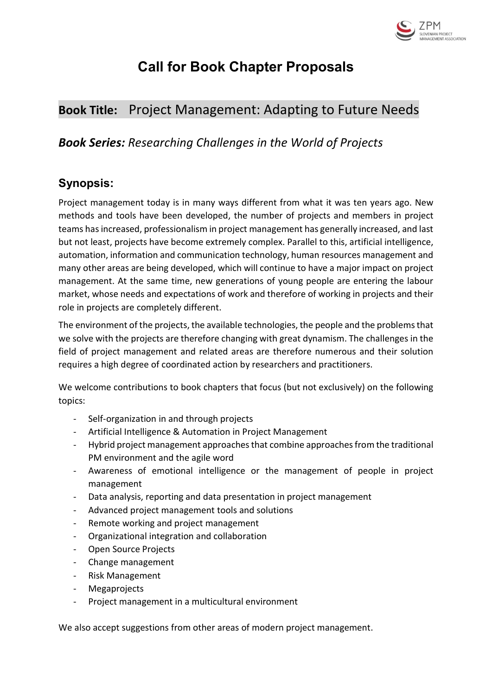

# Call for Book Chapter Proposals

# Book Title: Project Management: Adapting to Future Needs

# Book Series: Researching Challenges in the World of Projects

# Synopsis:

Project management today is in many ways different from what it was ten years ago. New methods and tools have been developed, the number of projects and members in project teams has increased, professionalism in project management has generally increased, and last but not least, projects have become extremely complex. Parallel to this, artificial intelligence, automation, information and communication technology, human resources management and many other areas are being developed, which will continue to have a major impact on project management. At the same time, new generations of young people are entering the labour market, whose needs and expectations of work and therefore of working in projects and their role in projects are completely different.

The environment of the projects, the available technologies, the people and the problems that we solve with the projects are therefore changing with great dynamism. The challenges in the field of project management and related areas are therefore numerous and their solution requires a high degree of coordinated action by researchers and practitioners.

We welcome contributions to book chapters that focus (but not exclusively) on the following topics:

- Self-organization in and through projects
- Artificial Intelligence & Automation in Project Management
- Hybrid project management approaches that combine approaches from the traditional PM environment and the agile word
- Awareness of emotional intelligence or the management of people in project management
- Data analysis, reporting and data presentation in project management
- Advanced project management tools and solutions
- Remote working and project management
- Organizational integration and collaboration
- Open Source Projects
- Change management
- Risk Management
- **Megaprojects**
- Project management in a multicultural environment

We also accept suggestions from other areas of modern project management.